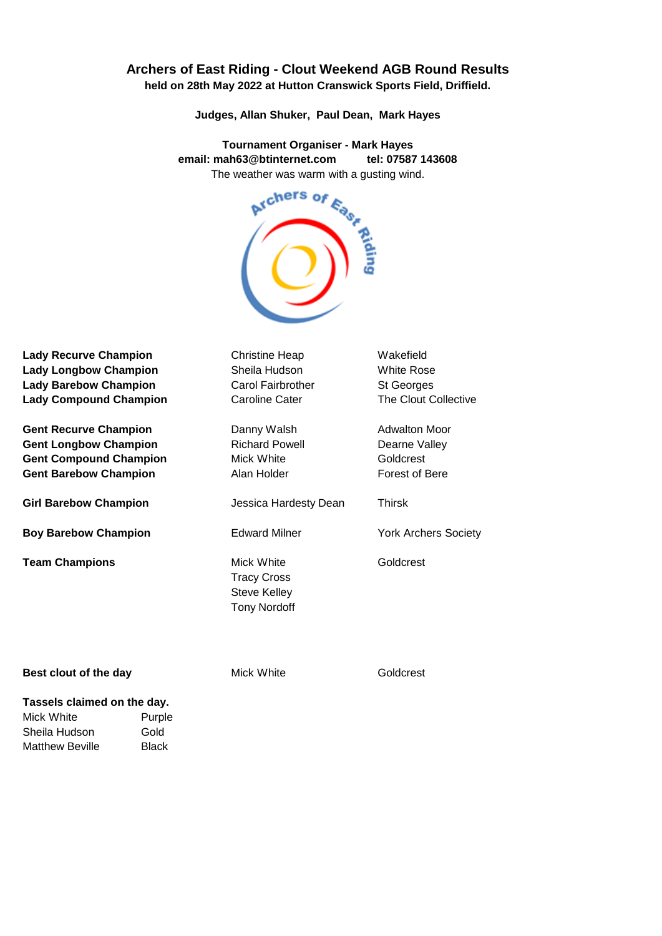## **Archers of East Riding - Clout Weekend AGB Round Results held on 28th May 2022 at Hutton Cranswick Sports Field, Driffield.**

**Judges, Allan Shuker, Paul Dean, Mark Hayes**

**Tournament Organiser - Mark Hayes** The weather was warm with a gusting wind.



Lady Recurve Champion **Christine Heap** Wakefield Lady Longbow Champion **Sheila Hudson** White Rose **Lady Barebow Champion** Carol Fairbrother St Georges **Lady Compound Champion**

**Gent Recurve Champion Danny Walsh Adwalton Moor Gent Longbow Champion** Richard Powell **Richard Powell** Dearne Valley **Gent Compound Champion** Mick White Goldcrest Gent Barebow Champion **Alan Holder Alan Holder** Forest of Bere

**Girl Barebow Champion** Jessica Hardesty Dean Thirsk

**Boy Barebow Champion** Edward Milner York Archers Society

**Team Champions** Mick White Goldcrest

Tracy Cross Steve Kelley Tony Nordoff

Caroline Cater The Clout Collective

## **Best clout of the day** Mick White Goldcrest

## **Tassels claimed on the day.** Mick White **Purple**

Sheila Hudson Gold Matthew Beville Black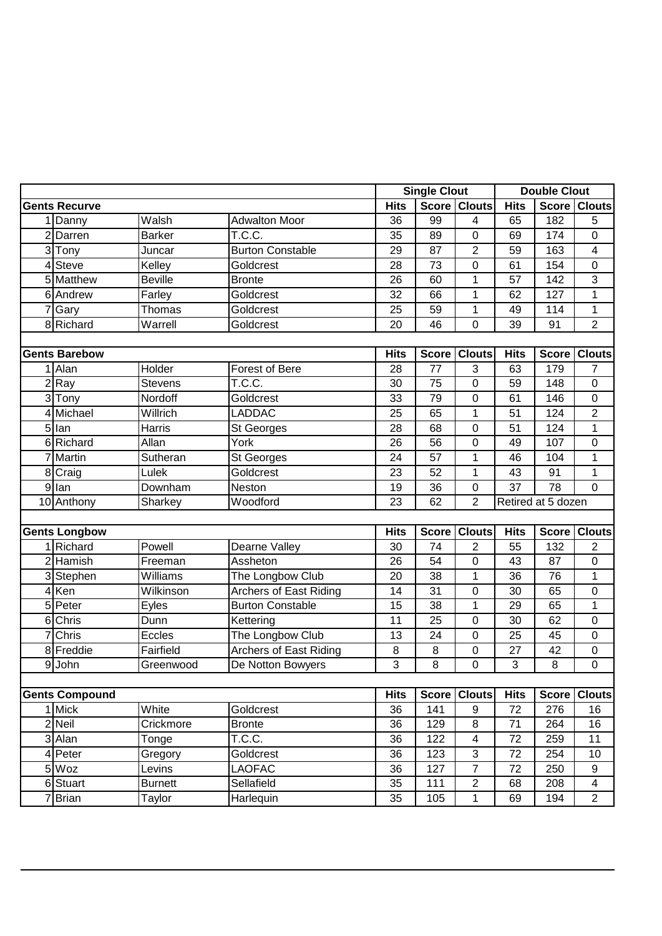|                       |                      |                |                               |                | <b>Single Clout</b> |                         | <b>Double Clout</b> |              |                |  |
|-----------------------|----------------------|----------------|-------------------------------|----------------|---------------------|-------------------------|---------------------|--------------|----------------|--|
|                       | <b>Gents Recurve</b> |                |                               | <b>Hits</b>    |                     | <b>Score Clouts</b>     | <b>Hits</b>         |              | Score   Clouts |  |
|                       | 1 Danny              | Walsh          | <b>Adwalton Moor</b>          | 36             | 99                  | $\overline{4}$          | 65                  | 182          | 5              |  |
|                       | 2 Darren             | <b>Barker</b>  | T.C.C.                        | 35             | 89                  | 0                       | 69                  | 174          | 0              |  |
|                       | 3Tony                | Juncar         | <b>Burton Constable</b>       | 29             | 87                  | 2                       | 59                  | 163          | 4              |  |
|                       | 4 Steve              | Kelley         | Goldcrest                     | 28             | $\overline{73}$     | 0                       | 61                  | 154          | $\mathbf 0$    |  |
|                       | 5 Matthew            | <b>Beville</b> | <b>Bronte</b>                 | 26             | 60                  | 1                       | 57                  | 142          | 3              |  |
|                       | 6 Andrew             | Farley         | Goldcrest                     | 32             | 66                  | $\mathbf 1$             | 62                  | 127          | $\overline{1}$ |  |
|                       | 7 Gary               | Thomas         | Goldcrest                     | 25             | 59                  | 1                       | 49                  | 114          | 1              |  |
|                       | 8 Richard            | Warrell        | Goldcrest                     | 20             | 46                  | 0                       | 39                  | 91           | $\overline{2}$ |  |
|                       |                      |                |                               |                |                     |                         |                     |              |                |  |
|                       | <b>Gents Barebow</b> |                |                               | <b>Hits</b>    | <b>Score</b>        | <b>Clouts</b>           | <b>Hits</b>         | <b>Score</b> | <b>Clouts</b>  |  |
|                       | 1 Alan               | Holder         | <b>Forest of Bere</b>         | 28             | 77                  | 3                       | 63                  | 179          | $\overline{7}$ |  |
|                       | 2 Ray                | <b>Stevens</b> | T.C.C.                        | 30             | 75                  | 0                       | 59                  | 148          | $\mathbf 0$    |  |
|                       | 3 Tony               | Nordoff        | Goldcrest                     | 33             | 79                  | 0                       | 61                  | 146          | $\mathbf 0$    |  |
|                       | 4 Michael            | Willrich       | <b>LADDAC</b>                 | 25             | 65                  | $\mathbf 1$             | 51                  | 124          | $\overline{2}$ |  |
|                       | 5 lan                | <b>Harris</b>  | St Georges                    | 28             | 68                  | 0                       | 51                  | 124          | $\mathbf{1}$   |  |
|                       | 6 Richard            | Allan          | York                          | 26             | 56                  | 0                       | 49                  | 107          | 0              |  |
|                       | 7 Martin             | Sutheran       | St Georges                    | 24             | 57                  | 1                       | 46                  | 104          | 1              |  |
|                       | 8 Craig              | Lulek          | Goldcrest                     | 23             | 52                  | $\mathbf 1$             | 43                  | 91           | $\mathbf{1}$   |  |
|                       | 9 lan                | Downham        | Neston                        | 19             | 36                  | 0                       | 37                  | 78           | $\Omega$       |  |
|                       | 10 Anthony           | Sharkey        | Woodford                      | 23             | 62                  | $\overline{2}$          | Retired at 5 dozen  |              |                |  |
|                       |                      |                |                               |                |                     |                         |                     |              |                |  |
|                       | <b>Gents Longbow</b> |                |                               | <b>Hits</b>    |                     | Score Clouts            | <b>Hits</b>         | <b>Score</b> | <b>Clouts</b>  |  |
|                       | 1 Richard            | Powell         | Dearne Valley                 | 30             | 74                  | $\overline{2}$          | 55                  | 132          | $\overline{2}$ |  |
|                       | 2 Hamish             | Freeman        | Assheton                      | 26             | 54                  | 0                       | 43                  | 87           | 0              |  |
|                       | 3 Stephen            | Williams       | The Longbow Club              | 20             | 38                  | 1                       | 36                  | 76           | 1              |  |
|                       | 4 Ken                | Wilkinson      | Archers of East Riding        | 14             | 31                  | 0                       | 30                  | 65           | $\pmb{0}$      |  |
|                       | 5 Peter              | Eyles          | <b>Burton Constable</b>       | 15             | 38                  | $\mathbf 1$             | 29                  | 65           | $\mathbf{1}$   |  |
|                       | 6 Chris              | Dunn           | Kettering                     | 11             | 25                  | 0                       | 30                  | 62           | 0              |  |
|                       | 7 Chris              | Eccles         | The Longbow Club              | 13             | 24                  | 0                       | 25                  | 45           | $\mathbf 0$    |  |
|                       | 8 Freddie            | Fairfield      | <b>Archers of East Riding</b> | 8              | 8                   | 0                       | 27                  | 42           | 0              |  |
|                       | 9 John               | Greenwood      | De Notton Bowyers             | 3              | 8                   | 0                       | 3                   | 8            | $\mathbf 0$    |  |
|                       |                      |                |                               |                |                     |                         |                     |              |                |  |
| <b>Gents Compound</b> |                      | <b>Hits</b>    |                               | Score   Clouts | <b>Hits</b>         |                         | <b>Score Clouts</b> |              |                |  |
|                       | 1 Mick               | White          | Goldcrest                     | 36             | 141                 | 9                       | 72                  | 276          | 16             |  |
|                       | 2 Neil               | Crickmore      | <b>Bronte</b>                 | 36             | 129                 | 8                       | 71                  | 264          | 16             |  |
|                       | 3 Alan               | Tonge          | T.C.C.                        | 36             | 122                 | $\overline{\mathbf{4}}$ | 72                  | 259          | 11             |  |
|                       | 4 Peter              | Gregory        | Goldcrest                     | 36             | 123                 | $\overline{3}$          | 72                  | 254          | 10             |  |
|                       | 5 Woz                | Levins         | LAOFAC                        | 36             | 127                 | $\overline{7}$          | 72                  | 250          | 9              |  |
|                       | 6 Stuart             | <b>Burnett</b> | Sellafield                    | 35             | 111                 | $\overline{2}$          | 68                  | 208          | 4              |  |
|                       | 7Brian               | Taylor         | Harlequin                     | 35             | 105                 | $\mathbf{1}$            | 69                  | 194          | $\overline{2}$ |  |